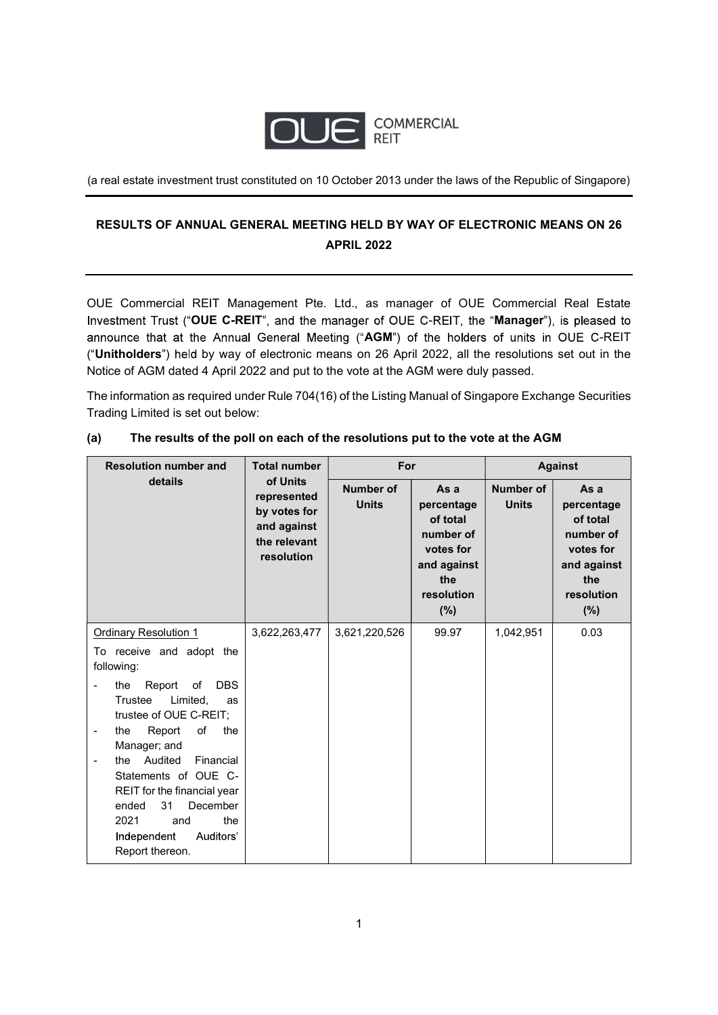

(a real estate investment trust constituted on 10 October 2013 under the laws of the Republic of Singapore)

# RESULTS OF ANNUAL GENERAL MEETING HELD BY WAY OF ELECTRONIC MEANS ON 26 APRIL 2022

OUE Commercial REIT Management Pte. Ltd., as manager of OUE Commercial Real Estate Investment Trust ("OUE C-REIT", and the manager of OUE C-REIT, the "Manager"), is pleased to announce that at the Annual General Meeting ("AGM") of the holders of units in OUE C-REIT ("Unitholders") held by way of electronic means on 26 April 2022, all the resolutions set out in the Notice of AGM dated 4 April 2022 and put to the vote at the AGM were duly passed.

The information as required under Rule 704(16) of the Listing Manual of Singapore Exchange Securities Trading Limited is set out below:

| <b>Resolution number and</b>                                               | <b>Total number</b>                                                                  | For                              |                                                                                                        | <b>Against</b>                   |                                                                                                         |
|----------------------------------------------------------------------------|--------------------------------------------------------------------------------------|----------------------------------|--------------------------------------------------------------------------------------------------------|----------------------------------|---------------------------------------------------------------------------------------------------------|
| details                                                                    | of Units<br>represented<br>by votes for<br>and against<br>the relevant<br>resolution | <b>Number of</b><br><b>Units</b> | As a<br>percentage<br>of total<br>number of<br>votes for<br>and against<br>the<br>resolution<br>$(\%)$ | <b>Number of</b><br><b>Units</b> | As a<br>percentage<br>of total<br>number of<br>votes for<br>and against<br>the<br>resolution<br>$(\% )$ |
| <b>Ordinary Resolution 1</b>                                               | 3,622,263,477                                                                        | 3,621,220,526                    | 99.97                                                                                                  | 1,042,951                        | 0.03                                                                                                    |
| To receive and adopt the                                                   |                                                                                      |                                  |                                                                                                        |                                  |                                                                                                         |
| following:                                                                 |                                                                                      |                                  |                                                                                                        |                                  |                                                                                                         |
| Report<br><b>DBS</b><br>of<br>the<br>$\overline{\phantom{0}}$              |                                                                                      |                                  |                                                                                                        |                                  |                                                                                                         |
| Limited,<br>Trustee<br>as                                                  |                                                                                      |                                  |                                                                                                        |                                  |                                                                                                         |
| trustee of OUE C-REIT;                                                     |                                                                                      |                                  |                                                                                                        |                                  |                                                                                                         |
| Report<br>of<br>the<br>the<br>$\qquad \qquad \blacksquare$<br>Manager; and |                                                                                      |                                  |                                                                                                        |                                  |                                                                                                         |
| Audited<br>Financial<br>the<br>$\blacksquare$                              |                                                                                      |                                  |                                                                                                        |                                  |                                                                                                         |
| Statements of OUE C-                                                       |                                                                                      |                                  |                                                                                                        |                                  |                                                                                                         |
| REIT for the financial year                                                |                                                                                      |                                  |                                                                                                        |                                  |                                                                                                         |
| 31<br>December<br>ended                                                    |                                                                                      |                                  |                                                                                                        |                                  |                                                                                                         |
| the<br>2021<br>and                                                         |                                                                                      |                                  |                                                                                                        |                                  |                                                                                                         |
| Independent<br>Auditors'<br>Report thereon.                                |                                                                                      |                                  |                                                                                                        |                                  |                                                                                                         |

### (a) The results of the poll on each of the resolutions put to the vote at the AGM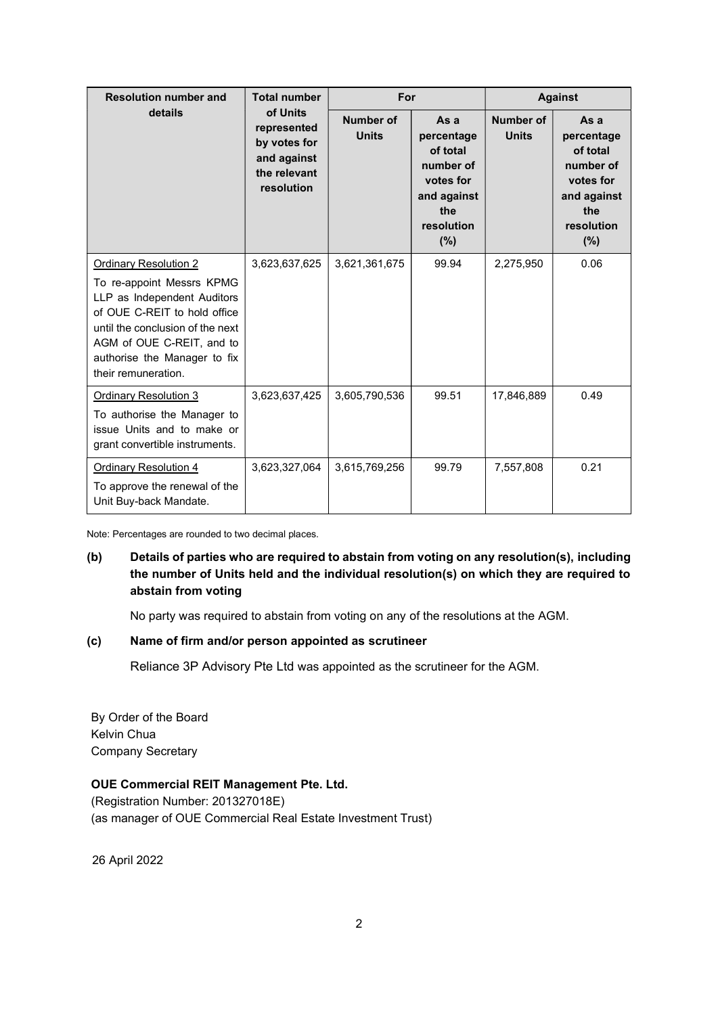| <b>Resolution number and</b>                                                                                                                                                                                                                     | <b>Total number</b><br>of Units<br>represented<br>by votes for<br>and against<br>the relevant<br>resolution | For                              |                                                                                                     | <b>Against</b>            |                                                                                                     |
|--------------------------------------------------------------------------------------------------------------------------------------------------------------------------------------------------------------------------------------------------|-------------------------------------------------------------------------------------------------------------|----------------------------------|-----------------------------------------------------------------------------------------------------|---------------------------|-----------------------------------------------------------------------------------------------------|
| details                                                                                                                                                                                                                                          |                                                                                                             | <b>Number of</b><br><b>Units</b> | As a<br>percentage<br>of total<br>number of<br>votes for<br>and against<br>the<br>resolution<br>(%) | Number of<br><b>Units</b> | As a<br>percentage<br>of total<br>number of<br>votes for<br>and against<br>the<br>resolution<br>(%) |
| <b>Ordinary Resolution 2</b><br>To re-appoint Messrs KPMG<br>LLP as Independent Auditors<br>of OUE C-REIT to hold office<br>until the conclusion of the next<br>AGM of OUE C-REIT, and to<br>authorise the Manager to fix<br>their remuneration. | 3,623,637,625                                                                                               | 3,621,361,675                    | 99.94                                                                                               | 2,275,950                 | 0.06                                                                                                |
| <b>Ordinary Resolution 3</b><br>To authorise the Manager to<br>issue Units and to make or<br>grant convertible instruments.                                                                                                                      | 3,623,637,425                                                                                               | 3,605,790,536                    | 99.51                                                                                               | 17,846,889                | 0.49                                                                                                |
| <b>Ordinary Resolution 4</b><br>To approve the renewal of the<br>Unit Buy-back Mandate.                                                                                                                                                          | 3,623,327,064                                                                                               | 3,615,769,256                    | 99.79                                                                                               | 7,557,808                 | 0.21                                                                                                |

Note: Percentages are rounded to two decimal places.

## (b) Details of parties who are required to abstain from voting on any resolution(s), including the number of Units held and the individual resolution(s) on which they are required to abstain from voting

No party was required to abstain from voting on any of the resolutions at the AGM.

#### (c) Name of firm and/or person appointed as scrutineer

Reliance 3P Advisory Pte Ltd was appointed as the scrutineer for the AGM.

By Order of the Board Kelvin Chua Company Secretary

### OUE Commercial REIT Management Pte. Ltd.

(Registration Number: 201327018E) (as manager of OUE Commercial Real Estate Investment Trust)

26 April 2022